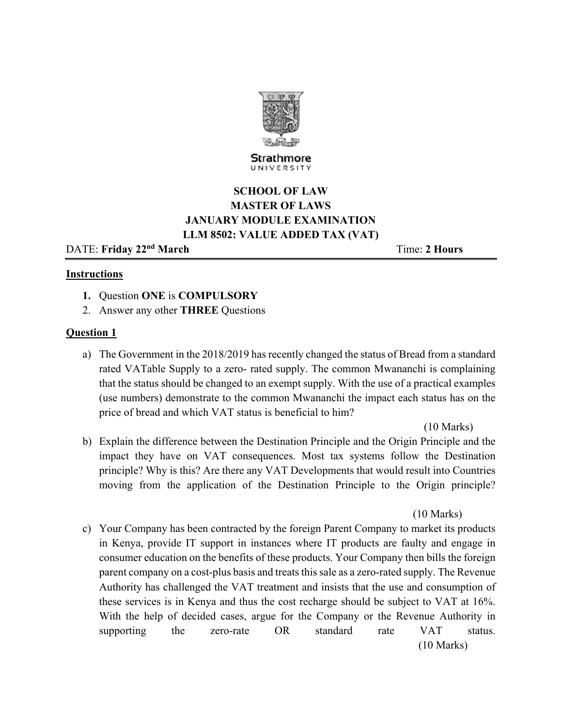

Strathmore UNIVERSITY

# **SCHOOL OF LAW MASTER OF LAWS JANUARY MODULE EXAMINATION LLM 8502: VALUE ADDED TAX (VAT)**

DATE: Friday 22<sup>nd</sup> March **Time:** 2 Hours

## **Instructions**

- **1.** Question **ONE** is **COMPULSORY**
- 2. Answer any other **THREE** Questions

# **Question 1**

a) The Government in the 2018/2019 has recently changed the status of Bread from a standard rated VATable Supply to a zero- rated supply. The common Mwananchi is complaining that the status should be changed to an exempt supply. With the use of a practical examples (use numbers) demonstrate to the common Mwananchi the impact each status has on the price of bread and which VAT status is beneficial to him?

(10 Marks)

b) Explain the difference between the Destination Principle and the Origin Principle and the impact they have on VAT consequences. Most tax systems follow the Destination principle? Why is this? Are there any VAT Developments that would result into Countries moving from the application of the Destination Principle to the Origin principle?

(10 Marks)

c) Your Company has been contracted by the foreign Parent Company to market its products in Kenya, provide IT support in instances where IT products are faulty and engage in consumer education on the benefits of these products. Your Company then bills the foreign parent company on a cost-plus basis and treats this sale as a zero-rated supply. The Revenue Authority has challenged the VAT treatment and insists that the use and consumption of these services is in Kenya and thus the cost recharge should be subject to VAT at 16%. With the help of decided cases, argue for the Company or the Revenue Authority in supporting the zero-rate OR standard rate VAT status. (10 Marks)